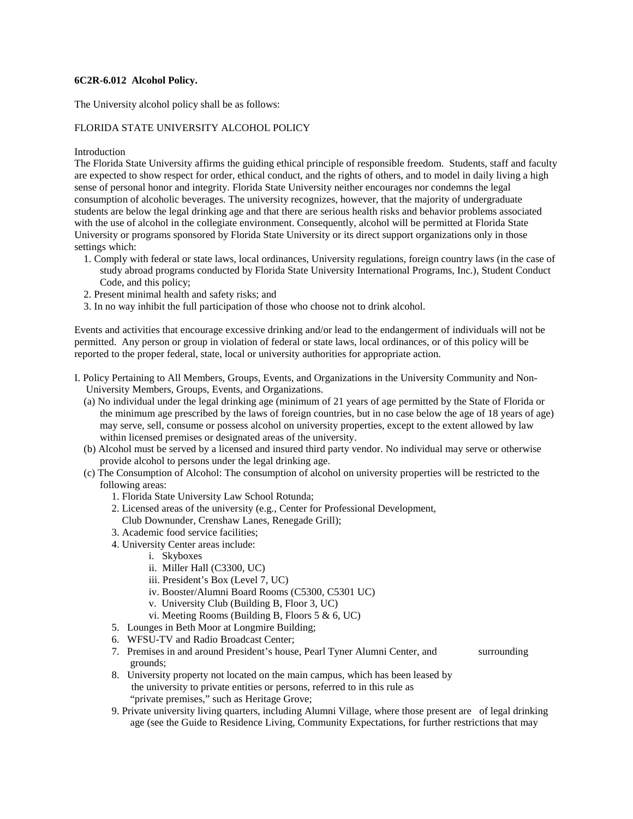# **6C2R-6.012 Alcohol Policy.**

The University alcohol policy shall be as follows:

# FLORIDA STATE UNIVERSITY ALCOHOL POLICY

## Introduction

The Florida State University affirms the guiding ethical principle of responsible freedom. Students, staff and faculty are expected to show respect for order, ethical conduct, and the rights of others, and to model in daily living a high sense of personal honor and integrity. Florida State University neither encourages nor condemns the legal consumption of alcoholic beverages. The university recognizes, however, that the majority of undergraduate students are below the legal drinking age and that there are serious health risks and behavior problems associated with the use of alcohol in the collegiate environment. Consequently, alcohol will be permitted at Florida State University or programs sponsored by Florida State University or its direct support organizations only in those settings which:

- 1. Comply with federal or state laws, local ordinances, University regulations, foreign country laws (in the case of study abroad programs conducted by Florida State University International Programs, Inc.), Student Conduct Code, and this policy;
- 2. Present minimal health and safety risks; and
- 3. In no way inhibit the full participation of those who choose not to drink alcohol.

Events and activities that encourage excessive drinking and/or lead to the endangerment of individuals will not be permitted. Any person or group in violation of federal or state laws, local ordinances, or of this policy will be reported to the proper federal, state, local or university authorities for appropriate action.

- I. Policy Pertaining to All Members, Groups, Events, and Organizations in the University Community and Non-University Members, Groups, Events, and Organizations.
	- (a) No individual under the legal drinking age (minimum of 21 years of age permitted by the State of Florida or the minimum age prescribed by the laws of foreign countries, but in no case below the age of 18 years of age) may serve, sell, consume or possess alcohol on university properties, except to the extent allowed by law within licensed premises or designated areas of the university.
	- (b) Alcohol must be served by a licensed and insured third party vendor. No individual may serve or otherwise provide alcohol to persons under the legal drinking age.
	- (c) The Consumption of Alcohol: The consumption of alcohol on university properties will be restricted to the following areas:
		- 1. Florida State University Law School Rotunda;
		- 2. Licensed areas of the university (e.g., Center for Professional Development, Club Downunder, Crenshaw Lanes, Renegade Grill);
		- 3. Academic food service facilities;
		- 4. University Center areas include:
			- i. Skyboxes
			- ii. Miller Hall (C3300, UC)
			- iii. President's Box (Level 7, UC)
			- iv. Booster/Alumni Board Rooms (C5300, C5301 UC)
			- v. University Club (Building B, Floor 3, UC)
			- vi. Meeting Rooms (Building B, Floors 5 & 6, UC)
		- 5. Lounges in Beth Moor at Longmire Building;
		- 6. WFSU-TV and Radio Broadcast Center;
		- 7. Premises in and around President's house, Pearl Tyner Alumni Center, and surrounding grounds;
		- 8. University property not located on the main campus, which has been leased by the university to private entities or persons, referred to in this rule as "private premises," such as Heritage Grove;
		- 9. Private university living quarters, including Alumni Village, where those present are of legal drinking age (see the Guide to Residence Living, Community Expectations, for further restrictions that may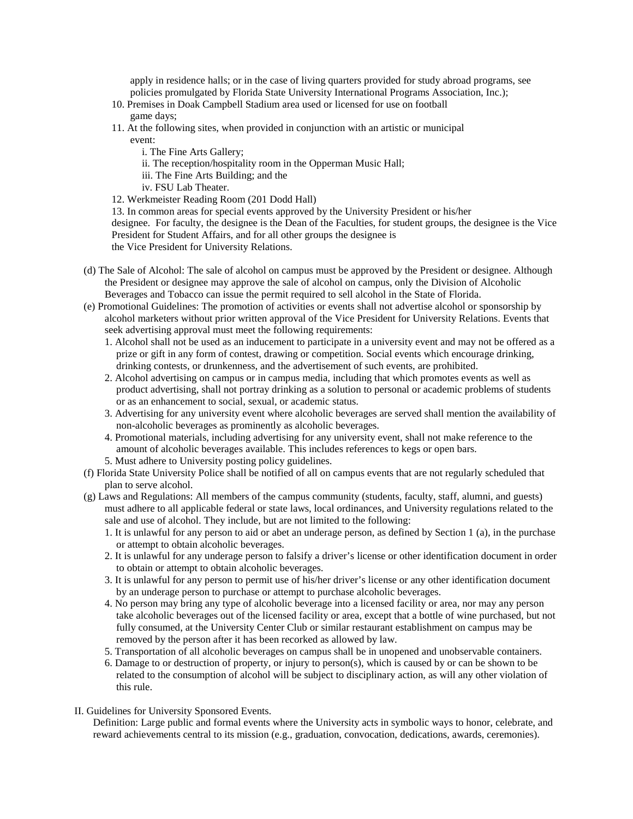apply in residence halls; or in the case of living quarters provided for study abroad programs, see policies promulgated by Florida State University International Programs Association, Inc.);

- 10. Premises in Doak Campbell Stadium area used or licensed for use on football game days;
- 11. At the following sites, when provided in conjunction with an artistic or municipal event:
	- i. The Fine Arts Gallery;
	- ii. The reception/hospitality room in the Opperman Music Hall;
	- iii. The Fine Arts Building; and the
	- iv. FSU Lab Theater.

12. Werkmeister Reading Room (201 Dodd Hall)

13. In common areas for special events approved by the University President or his/her designee. For faculty, the designee is the Dean of the Faculties, for student groups, the designee is the Vice President for Student Affairs, and for all other groups the designee is the Vice President for University Relations.

- (d) The Sale of Alcohol: The sale of alcohol on campus must be approved by the President or designee. Although the President or designee may approve the sale of alcohol on campus, only the Division of Alcoholic Beverages and Tobacco can issue the permit required to sell alcohol in the State of Florida.
- (e) Promotional Guidelines: The promotion of activities or events shall not advertise alcohol or sponsorship by alcohol marketers without prior written approval of the Vice President for University Relations. Events that seek advertising approval must meet the following requirements:
	- 1. Alcohol shall not be used as an inducement to participate in a university event and may not be offered as a prize or gift in any form of contest, drawing or competition. Social events which encourage drinking, drinking contests, or drunkenness, and the advertisement of such events, are prohibited.
	- 2. Alcohol advertising on campus or in campus media, including that which promotes events as well as product advertising, shall not portray drinking as a solution to personal or academic problems of students or as an enhancement to social, sexual, or academic status.
	- 3. Advertising for any university event where alcoholic beverages are served shall mention the availability of non-alcoholic beverages as prominently as alcoholic beverages.
	- 4. Promotional materials, including advertising for any university event, shall not make reference to the amount of alcoholic beverages available. This includes references to kegs or open bars.
	- 5. Must adhere to University posting policy guidelines.
- (f) Florida State University Police shall be notified of all on campus events that are not regularly scheduled that plan to serve alcohol.
- (g) Laws and Regulations: All members of the campus community (students, faculty, staff, alumni, and guests) must adhere to all applicable federal or state laws, local ordinances, and University regulations related to the sale and use of alcohol. They include, but are not limited to the following:
	- 1. It is unlawful for any person to aid or abet an underage person, as defined by Section 1 (a), in the purchase or attempt to obtain alcoholic beverages.
	- 2. It is unlawful for any underage person to falsify a driver's license or other identification document in order to obtain or attempt to obtain alcoholic beverages.
	- 3. It is unlawful for any person to permit use of his/her driver's license or any other identification document by an underage person to purchase or attempt to purchase alcoholic beverages.
	- 4. No person may bring any type of alcoholic beverage into a licensed facility or area, nor may any person take alcoholic beverages out of the licensed facility or area, except that a bottle of wine purchased, but not fully consumed, at the University Center Club or similar restaurant establishment on campus may be removed by the person after it has been recorked as allowed by law.
	- 5. Transportation of all alcoholic beverages on campus shall be in unopened and unobservable containers.
	- 6. Damage to or destruction of property, or injury to person(s), which is caused by or can be shown to be related to the consumption of alcohol will be subject to disciplinary action, as will any other violation of this rule.
- II. Guidelines for University Sponsored Events.

Definition: Large public and formal events where the University acts in symbolic ways to honor, celebrate, and reward achievements central to its mission (e.g., graduation, convocation, dedications, awards, ceremonies).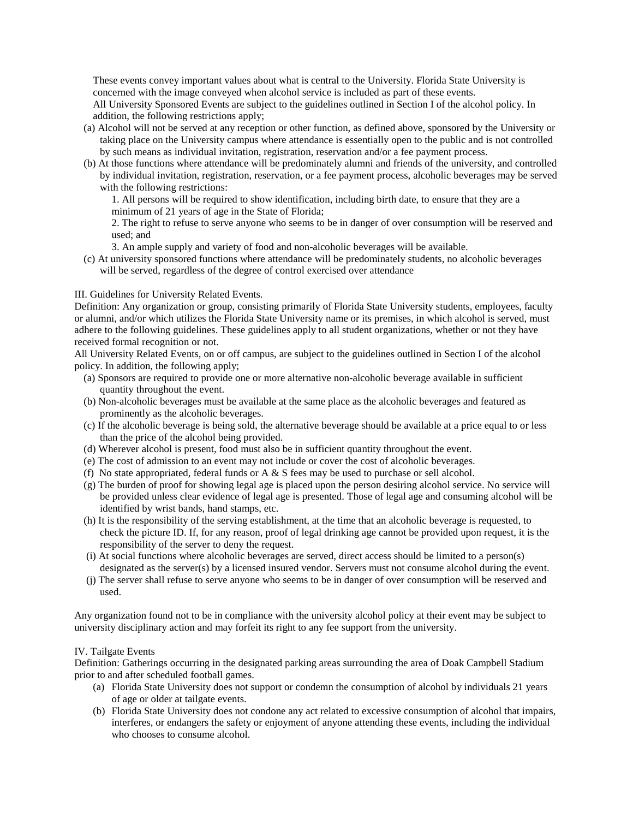These events convey important values about what is central to the University. Florida State University is concerned with the image conveyed when alcohol service is included as part of these events.

All University Sponsored Events are subject to the guidelines outlined in Section I of the alcohol policy. In addition, the following restrictions apply;

- (a) Alcohol will not be served at any reception or other function, as defined above, sponsored by the University or taking place on the University campus where attendance is essentially open to the public and is not controlled by such means as individual invitation, registration, reservation and/or a fee payment process.
- (b) At those functions where attendance will be predominately alumni and friends of the university, and controlled by individual invitation, registration, reservation, or a fee payment process, alcoholic beverages may be served with the following restrictions:

1. All persons will be required to show identification, including birth date, to ensure that they are a minimum of 21 years of age in the State of Florida;

2. The right to refuse to serve anyone who seems to be in danger of over consumption will be reserved and used; and

- 3. An ample supply and variety of food and non-alcoholic beverages will be available.
- (c) At university sponsored functions where attendance will be predominately students, no alcoholic beverages will be served, regardless of the degree of control exercised over attendance

III. Guidelines for University Related Events.

Definition: Any organization or group, consisting primarily of Florida State University students, employees, faculty or alumni, and/or which utilizes the Florida State University name or its premises, in which alcohol is served, must adhere to the following guidelines. These guidelines apply to all student organizations, whether or not they have received formal recognition or not.

All University Related Events, on or off campus, are subject to the guidelines outlined in Section I of the alcohol policy. In addition, the following apply;

- (a) Sponsors are required to provide one or more alternative non-alcoholic beverage available in sufficient quantity throughout the event.
- (b) Non-alcoholic beverages must be available at the same place as the alcoholic beverages and featured as prominently as the alcoholic beverages.
- (c) If the alcoholic beverage is being sold, the alternative beverage should be available at a price equal to or less than the price of the alcohol being provided.
- (d) Wherever alcohol is present, food must also be in sufficient quantity throughout the event.
- (e) The cost of admission to an event may not include or cover the cost of alcoholic beverages.
- (f) No state appropriated, federal funds or A  $\&$  S fees may be used to purchase or sell alcohol.
- (g) The burden of proof for showing legal age is placed upon the person desiring alcohol service. No service will be provided unless clear evidence of legal age is presented. Those of legal age and consuming alcohol will be identified by wrist bands, hand stamps, etc.
- (h) It is the responsibility of the serving establishment, at the time that an alcoholic beverage is requested, to check the picture ID. If, for any reason, proof of legal drinking age cannot be provided upon request, it is the responsibility of the server to deny the request.
- (i) At social functions where alcoholic beverages are served, direct access should be limited to a person(s) designated as the server(s) by a licensed insured vendor. Servers must not consume alcohol during the event.
- (j) The server shall refuse to serve anyone who seems to be in danger of over consumption will be reserved and used.

Any organization found not to be in compliance with the university alcohol policy at their event may be subject to university disciplinary action and may forfeit its right to any fee support from the university.

#### IV. Tailgate Events

Definition: Gatherings occurring in the designated parking areas surrounding the area of Doak Campbell Stadium prior to and after scheduled football games.

- (a) Florida State University does not support or condemn the consumption of alcohol by individuals 21 years of age or older at tailgate events.
- (b) Florida State University does not condone any act related to excessive consumption of alcohol that impairs, interferes, or endangers the safety or enjoyment of anyone attending these events, including the individual who chooses to consume alcohol.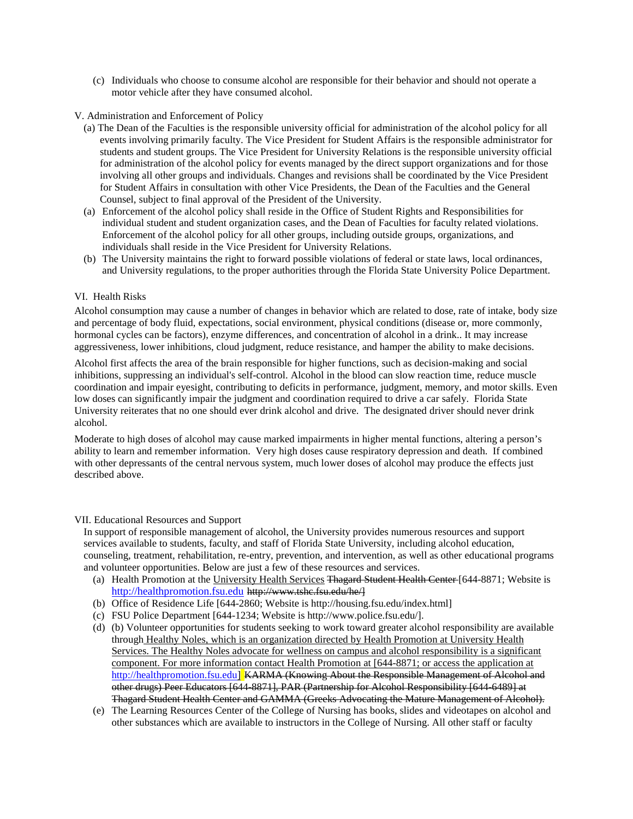(c) Individuals who choose to consume alcohol are responsible for their behavior and should not operate a motor vehicle after they have consumed alcohol.

## V. Administration and Enforcement of Policy

- (a) The Dean of the Faculties is the responsible university official for administration of the alcohol policy for all events involving primarily faculty. The Vice President for Student Affairs is the responsible administrator for students and student groups. The Vice President for University Relations is the responsible university official for administration of the alcohol policy for events managed by the direct support organizations and for those involving all other groups and individuals. Changes and revisions shall be coordinated by the Vice President for Student Affairs in consultation with other Vice Presidents, the Dean of the Faculties and the General Counsel, subject to final approval of the President of the University.
- (a) Enforcement of the alcohol policy shall reside in the Office of Student Rights and Responsibilities for individual student and student organization cases, and the Dean of Faculties for faculty related violations. Enforcement of the alcohol policy for all other groups, including outside groups, organizations, and individuals shall reside in the Vice President for University Relations.
- (b) The University maintains the right to forward possible violations of federal or state laws, local ordinances, and University regulations, to the proper authorities through the Florida State University Police Department.

# VI. Health Risks

Alcohol consumption may cause a number of changes in behavior which are related to dose, rate of intake, body size and percentage of body fluid, expectations, social environment, physical conditions (disease or, more commonly, hormonal cycles can be factors), enzyme differences, and concentration of alcohol in a drink.. It may increase aggressiveness, lower inhibitions, cloud judgment, reduce resistance, and hamper the ability to make decisions.

Alcohol first affects the area of the brain responsible for higher functions, such as decision-making and social inhibitions, suppressing an individual's self-control. Alcohol in the blood can slow reaction time, reduce muscle coordination and impair eyesight, contributing to deficits in performance, judgment, memory, and motor skills. Even low doses can significantly impair the judgment and coordination required to drive a car safely. Florida State University reiterates that no one should ever drink alcohol and drive. The designated driver should never drink alcohol.

Moderate to high doses of alcohol may cause marked impairments in higher mental functions, altering a person's ability to learn and remember information. Very high doses cause respiratory depression and death. If combined with other depressants of the central nervous system, much lower doses of alcohol may produce the effects just described above.

#### VII. Educational Resources and Support

In support of responsible management of alcohol, the University provides numerous resources and support services available to students, faculty, and staff of Florida State University, including alcohol education, counseling, treatment, rehabilitation, re-entry, prevention, and intervention, as well as other educational programs and volunteer opportunities. Below are just a few of these resources and services.

- (a) Health Promotion at the University Health Services Thagard Student Health Center [644-8871; Website is [http://healthpromotion.fsu.edu](http://healthpromotion.fsu.edu/) http://www.tshc.fsu.edu/he/]
- (b) Office of Residence Life [644-2860; Website is http://housing.fsu.edu/index.html]
- (c) FSU Police Department [644-1234; Website is http://www.police.fsu.edu/].
- (d) (b) Volunteer opportunities for students seeking to work toward greater alcohol responsibility are available through Healthy Noles, which is an organization directed by Health Promotion at University Health Services. The Healthy Noles advocate for wellness on campus and alcohol responsibility is a significant component. For more information contact Health Promotion at [644-8871; or access the application at [http://healthpromotion.fsu.edu\]](http://healthpromotion.fsu.edu/) KARMA (Knowing About the Responsible Management of Alcohol and other drugs) Peer Educators [644-8871], PAR (Partnership for Alcohol Responsibility [644-6489] at Thagard Student Health Center and GAMMA (Greeks Advocating the Mature Management of Alcohol).
- (e) The Learning Resources Center of the College of Nursing has books, slides and videotapes on alcohol and other substances which are available to instructors in the College of Nursing. All other staff or faculty